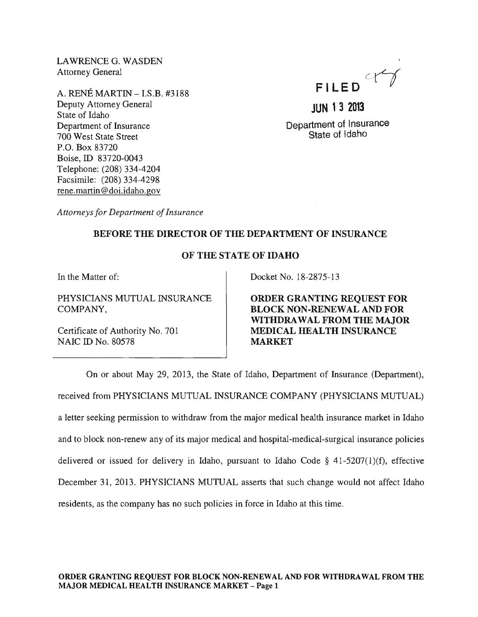LAWRENCE G. WASDEN Attorney General

A. RENE MARTIN - I.S.B. #3188 Deputy Attorney General State of Idaho Department of Insurance 700 West State Street P.O. Box 83720 Boise, ID 83720-0043 Telephone: (208) 334-4204 Facsimile: (208) 334-4298 rene. martin @doi.idaho.gov

FILED<sup>QY</sup>

**JUN 13 2013**  Department of Insurance State of Idaho

*Attorneys for Department of Insurance* 

## BEFORE THE DIRECTOR OF THE DEPARTMENT OF INSURANCE

## OF THE STATE OF IDAHO

In the Matter of:

PHYSICIANS MUTUAL INSURANCE COMPANY,

Certificate of Authority No. 701 NAIC ID No. 80578

Docket No. 18-2875-13

ORDER GRANTING REQUEST FOR BLOCK NON-RENEWAL AND FOR WITHDRA WAL FROM THE MAJOR MEDICAL HEALTH INSURANCE MARKET

On or about May 29, 2013, the State of Idaho, Department of Insurance (Department), received from PHYSICIANS MUTUAL INSURANCE COMPANY (PHYSICIANS MUTUAL) a letter seeking permission to withdraw from the major medical health insurance market in Idaho and to block non-renew any of its major medical and hospital-medical-surgical insurance policies delivered or issued for delivery in Idaho, pursuant to Idaho Code § 41-5207(1)(f), effective December 31, 2013. PHYSICIANS MUTUAL asserts that such change would not affect Idaho residents, as the company has no such policies in force in Idaho at this time.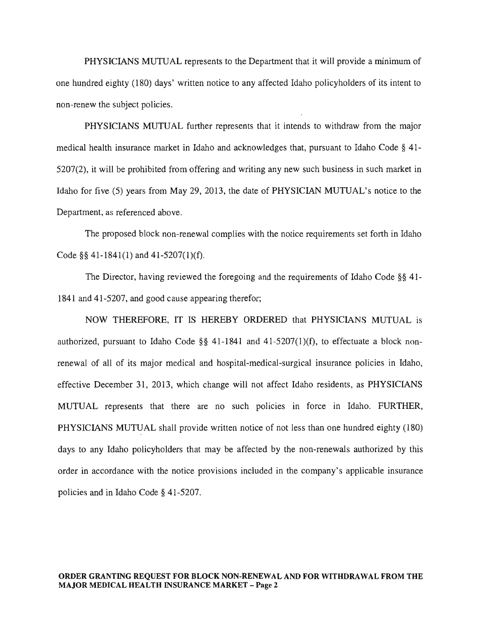PHYSICIANS MUTUAL represents to the Department that it will provide a minimum of one hundred eighty (180) days' written notice to any affected Idaho policyholders of its intent to non-renew the subject policies.

PHYSICIANS MUTUAL further represents that it intends to withdraw from the major medical health insurance market in Idaho and acknowledges that, pursuant to Idaho Code § 41- 5207(2), it will be prohibited from offering and writing any new such business in such market in Idaho for five (5) years from May 29, 2013, the date of PHYSICIAN MUTUAL's notice to the Department, as referenced above.

The proposed block non-renewal complies with the notice requirements set forth in Idaho Code §§ 41-1841(1) and 41-5207(1)(f).

The Director, having reviewed the foregoing and the requirements of Idaho Code §§ 41- 1841 and 41-5207, and good cause appearing therefor;

NOW THEREFORE, IT IS HEREBY ORDERED that PHYSICIANS MUTUAL is authorized, pursuant to Idaho Code §§ 41-1841 and 41-5207(1)(f), to effectuate a block nonrenewal of all of its major medical and hospital-medical-surgical insurance policies in Idaho, effective December 31, 2013, which change will not affect Idaho residents, as PHYSICIANS MUTUAL represents that there are no such policies in force in Idaho. FURTHER, PHYSICIANS MUTUAL shall provide written notice of not less than one hundred eighty (180) days to any Idaho policyholders that may be affected by the non-renewals authorized by this order in accordance with the notice provisions included in the company's applicable insurance policies and in Idaho Code § 41-5207.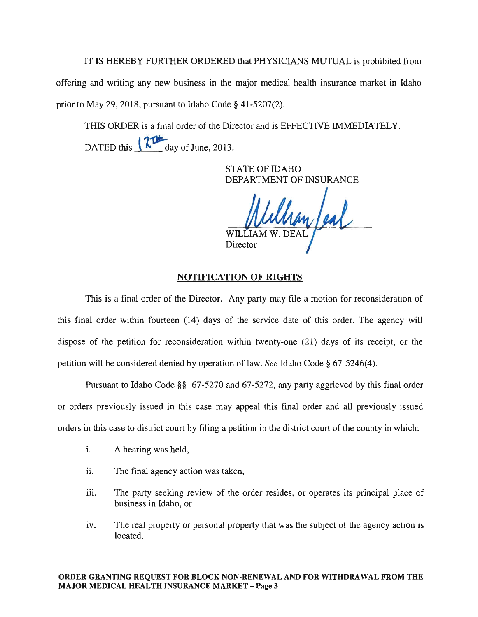IT IS HEREBY FURTHER ORDERED that PHYSICIANS MUTUAL is prohibited from offering and writing any new business in the major medical health insurance market in Idaho prior to May 29, 2018, pursuant to Idaho Code  $\S$  41-5207(2).

THIS ORDER is a final order of the Director and is EFFECTIVE IMMEDIATELY. DATED this  $\sqrt{\frac{24}{\text{day of June}}}\$ , 2013.

> STATE OF IDAHO DEPARTMENT OF INSURANCE

han feal  $\operatorname{WILL}$ Director

## NOTIFICATION OF RIGHTS

This is a final order of the Director. Any party may file a motion for reconsideration of this final order within fourteen (14) days of the service date of this order. The agency will dispose of the petition for reconsideration within twenty-one (21) days of its receipt, or the petition will be considered denied by operation of law. *See* Idaho Code § 67-5246(4).

Pursuant to Idaho Code §§ 67-5270 and 67-5272, any party aggrieved by this final order or orders previously issued in this case may appeal this final order and all previously issued orders in this case to district court by filing a petition in the district court of the county in which:

- i. A hearing was held,
- ii. The final agency action was taken,
- iii. The party seeking review of the order resides, or operates its principal place of business in Idaho, or
- iv. The real property or personal property that was the subject of the agency action is located.